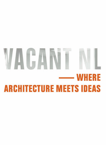# **VACANT N WHERE ARCHITECTURE MEETS IDEAS**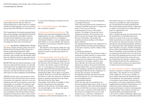*Constituting the Interim* In view of the attractive opportunities that the Interim offers for unconventional uses of urban space by a rainbow coalition of businesspeople, can it be accorded a special status that will help it to benefit the city?

The Constitution for the Interim presented below takes up this challenge, sketching the borderlands between opportunity and neglect, between investment and exploitation, the temporary and the ongoing, law and lawlessness – and everything else that arises in the Interim.

## *Preamble* DRAWING INSPIRATION FROM the many examples showing, firstly, that in the Dutch context the Interim offers space for a bottom-up planning instrument, either complementary or parallel to top-down planning processes, and, secondly, that this Interim offers space for reflection and action, space that must be used and, where necessary, pressed into service;

BELIEVING that the Interim introduces a trialand-error approach that presents, in a literally constructive way, the opportunity to learn from one's initial steps and adjust one's plans where necessary, and that the Interim can thereby offer space for urban complexity and dynamism;

AWARE that the power and attraction of the Interim lies above all in the fact that so much is *not* present, *not* regulated, and *not* (or not yet) organized, but that in consequence a great deal is generally *not* accessible, *not* usable (or only with difficulty), *not* lasting, and *not* officially authorized, and that the regime presented in this Constitution therefore aims solely to guarantee the accessibility of the Interim without compromising the freedom that it offers, and to resolve relevant long-running issues in spatial planning;

we present the following Constitution for the Interim.

*Part I: The Founding Principles For whom is this constitution intended?*

*I Definition and Objectives of the Interim* The Interim is the time period beginning when the original function of a site or building is terminated and continuing until the site or building is redeveloped (whether or not according to plan, and whether or not successfully). The Interim is therefore an autonomous and finite entity in space and time.

The objective of the Interim, within the scope of that autonomy, is to offer time and space for initiatives aimed at opening up prospects for the future.1

### *II Fundamental Rights and Citizenship of the*

*Interim* Given the autonomy of the Interim as a spatial and temporal unit, the importance of the Interim in the development of the city and its culture, the relative scarcity of the Interim, and – as a consequence of the foregoing – the pressure under which the Interim must perform, the Interim *itself* is endowed with certain fundamental rights. These rights are specified in part II. They serve to secure the objective of the Interim: to offer time and space for initiatives aimed at opening up prospects for the future. The Interim has no other rights. Citizenship of the Interim is available to those Interim entrepreneurs who undertake initiatives in the Interim. Citizenship confers one essential right on the citizen: the right of access to the Interim.

*III Interim Competences* The specific competences of the Interim depend on the 40 type of Interim and are not interchangeable. a. anticipated Interim

This is the period between the termination of a function (possibly long-term) or a long-term mode of use of an area and the commencement of a new, redeveloped function. The length of this period can be estimated in advance, but in practice, the period can last years longer than expected. In this case, the Interim is a by-product, the transition period preceding a well-defined future situation.

The anticipated Interim has the competence to question both the transition period leading up to the future function, and the validity of that function.

b. unanticipated Interim

This is the period after the decision is made to terminate an earlier function or earlier mode of use for which a new or redeveloped function has been planned, in cases where this new function is no longer certain to come about. Because the status and ownership situation are unclear, the period of time that will pass before there is a new permanent use for the building is indefinite in duration. This unanticipated Interim has the competence to provide time and space for informal developments with the potential to provoke the determination of a new formal purpose and ownership situation.

c. opportunistic Interim

This is the time after the termination of a function (possibly long-term) or mode of use of an area and before active redevelopment begins (a time in which the area has no new purpose). In some cases, a situation of this kind leads to the decision to designate the area for some temporary use, to generate a minimum of income, to protect the area from decay (or

from further decay), or to make the area as attractive as possible for some new purpose not yet determined in detail (gentrification). The indeterminate Interim has the competence to explore its potential by providing time and space for opportunistic use.

d. strategic Interim

This is a deliberate pause (or trial period) after the termination of a (possibly long-term) function or mode of use of an area, during which experiments are conducted to determine the best new use. Because the status is clear for participants and potential participants, initiatives are encouraged rather than impeded; all parties know what they can expect. Another motivating factor is that a good initiative has an excellent chance of inspiring a long-term follow-up activity or acquiring a permanent status. In such cases, the sooner the planning process focuses on the potential of the Interim, the sooner the area can benefit from the Interim's catalytic effects. The strategic Interim has the competence to offer transformation pioneers the opportunity to initiate long-term developments.

*IV Interim Institutions and Bodies* As soon as the Interim is activated, a coalition of entrepreneurs takes shape.2 The objective of every member of this coalition is, in one way or another, to derive added value from the Interim through its development. The participants (voluntary or involuntary) may include various levels of government, civil-society organizations (NGOs, neighbourhood and district organizations, etc.), and private parties (housing associations, property developers, investors, businesspeople, and individuals). This coalition can take two essentially different fundamental forms: a. the reactive coalition, which takes shape when one of the coalition partners unilaterally decides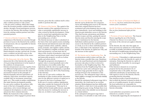to activate the Interim, thus compelling the other coalition partners to take action; b. the pro-active coalition, which takes shape when the broadest possible coalition mutually decides, through a broad participatory process, to activate the Interim, thus inciting a response from the existing coalition partners and other potential partners.

### *V Exercise of Interim Competences* The

competences of the Interim are exercised through provision of access to the Interim by the coalition of entrepreneurs, who are responsible for Interim development.

The owner of the land or structures in question (whose identity is almost always known in the Dutch situation) can play a pivotal role. In some cases a coalition can provide access to the Interim contrary to the wishes of the owner.

### *VI The Democratic Life of the Interim* The

democratic life of the Interim (the operation of its governing institutions) is in the hands of the coalition of entrepreneurs. Interim entrepreneurs can come together from very different backgrounds to form a coalition. Accordingly, interim democratic life must necessarily be based on the principle of Interim inequality and non-equivalence (of authority, legal status, investment capacity, available time for investment, pioneering spirit, etc.). This results in unique combinations that make Interim development possible. In a pro-active coalition, the partners, fully aware of the fact of inequality and nonequivalence, strive toward dialogue and transparent development, in order to define and protect their common interests. Within the framework of the coalition an external party is often engaged to protect those

interests, given that the coalition itself is often unable to perform this task.

*VII Finances of the Interim* The capital of the Interim consists of the capitalized increase in value or potentially capitalizable increase in value created by Interim development. (Value may be created and capitalization may take place in the Neighbouring Time or in the surrounding area, or both.)

The Interim increase in value is calculated on the basis of the total capital created, including both material and immaterial assets (the latter category includes urban, symbolic, cultural, social, economic, and cognitive capital, and the like).<sup>3</sup> In addition to tangible economic capital (land and property), account must also be taken of the creation of productive value (rent and future rental values) associated with land and immovable property, as well as of urban quality and urban activity.

Through the progressive development of capital, value is created gradually and, in the ideal situation, irreversibly (rather than explosively, with the risk of an equally abrupt setback leading to impoverishment), as specified in further detail in art. III.V (The Functioning of the Interim).

In the case of a pro-active coalition, the mechanism of value creation and the conversion rates for the different varieties of capital are to be agreed in the form of exchange rates.<sup>4</sup> In the case of a reactive coalition, capitalization takes place outside the framework of the full coalition of entrepreneurs.<sup>5</sup> This may be in conflict with the broader public interest, especially when the means for realizing the increase in value are, in whole or part, public property.

*VIII Access to the Interim* Access to the Interim can be divided into two categories. Areas and buildings gain access to the Interim when their original function has been terminated and redevelopment does not take place immediately. Areas and buildings in this situation gain immediate access to the Interim. They thus become autonomous and distinct entities in space and time, gaining the special Interim status and thereby entering the scope of the Constitution for the Interim. Individual coalition partners are guaranteed access to the Interim by the coalition partners as a body, in so far as these individual partners have a valid claim to the enjoyment of the benefits of the Interim, its capital (see VII), and the increase in that capital.<sup>6</sup>

*IX The Interim and its Neighbouring Time* As an autonomous entity in space and time, the Interim forms a parallel time zone. Simultaneously, the usual functional and developmental processes take place in what is referred to hereinafter as the Neighbouring Time. The transition from the Neighbouring Time to the Interim has a prior and a subsequent stage. The prior stage generally involves eagerly looking forward to the termination of the previous use. The subsequent stage is that in which (rightly or wrongly) one looks back wistfully at the Interim.

Should the anticipated subsequent stage fail to materialize, the result may be an overtime situation. Redevelopment may have deliberately been called to a halt, but it is also possible that something has gone wrong. Perhaps there is an economic crisis or the schedule was not discussed in a timely fashion.

If the anticipated subsequent stage fails to materialize, it is advisable to take swift action. *Part II: The Charter of Fundamental Rights of the Interim has been omitted from this printed version of the Constitution*

*Part III: The Policies and Functioning of the Interim How are these fundamental rights put into practice?*

*I Provisions of General Application* The General Decree regarding the use of the Interim ('Interim Use Decree') is to state which provisions of the relevant acts apply to Interim use.

In the Interim, the only rules that apply are those necessary for optimal use of the Interim as swiftly as possible and without compromising the interests of neighbouring entrepreneurs, the surrounding area, or the Neighbouring Time.

*II Citizenship* Citizenship is a right guaranteed to all those who enter the Interim in a spirit of enterprise. Entering the Interim in a spirit of enterprise should, if possible, be encouraged and facilitated.

If the Interim is situated on or in private property but has the potential to be of exceptional value to the public, the local authorities should play an intermediary role with regard to access to the Interim, thereby promoting Interim citizenship.

One situation worthy of special attention is that in which the Interim is situated in whole or part on or in public property. In such a situation, the local authorities are responsible for facilitating access to the Interim and promoting Interim citizenship.

Local authorities can promote access to the wInterim in a number of ways:<sup>7</sup>

– by financially supporting the development of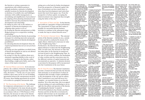the Interim or acting as guarantor in negotiations with coalition partners;

- through mediation, assistance in finding suitable locations for Interim development (a database of available sites and buildings), assistance with conflict management, or streamlining and simplification of procedures;<sup>8</sup>
- by adapting urban planning instruments and models to increase the potential for Interim development and citizenship;
- by taking an active role as the initiator or organizer of Interim development or by assigning other parties to do so;<sup>9</sup>
- by treating the Interim entrepreneurs as fullyfledged partners in a cooperative working relationship;10
- by actively marketing the Interim, by presenting strategies for soliciting innovative proposals and generating interest in Interim development possibilities;11
- by tolerating Interim development when the required permission has not (or not yet) been granted;
- by setting out clear guidelines on which forms of Interim development are and are not allowed in which types of Interim;
- by seeing to it that the coalition draws up a statement regarding liability in the event of accidents or damage in the Interim, rather than holding a single party liable, such as the owner of the land or structures.12

*III Internal Policies and Action* In its internal policies, the coalition of Interim entrepreneurs begins by determining the ground rules. The fewer rules, the better.13, 14 In the case of a pro-active coalition, these rules can be set out in binding agreements between the entrepreneurs involved. Of course, these binding agreements do not have to be written in a pompous, bureaucratic style.

*IV The Functioning of the Interim* The challenge for temporary entrepreneurs is to add a new layer of development to the many already present in the area subject to Interim development. When, in accordance with art. I.VII (Finances of the Interim), the increase in value in the Interim takes place gradually, the existing features of the

setting serve as the basis for further development. From the perspective of financial capital, this type of investment can have much faster returns than local development (and redevelopment) that starts from square one. From the perspective of urban capital, recouping the initial investment is less important than strengthening the fabric of the city.15

*V Association of Times and Sites* In the Interim, past results *are* a guarantee of future performance. The Association of Times and Sites makes it possible for successful Interim business activities to continue in the subsequent stage or make the leap to related Interim areas.16

*VI The Interim's External Action* The external action of the Interim (outside its area, outside its time period) is conducted by means of its ripple effects, which lead to increases in value in the Neighbouring Time.17

Furthermore, the Interim has an external impact whenever it enters into the Neighbouring Time. In such cases, the increase in value that has taken place in the Interim in transferred (at least in part) to the Neighbouring Time. In the case of a pro-active coalition, the mechanism of value creation and the conversion rates for the different varieties of capital (material and non-material) are operative. A valuation decision or provision for this purpose will be incorporated into the Constitution in the near future.

*Part IV: Final Provisions* The Interim Constitution provides a framework that provides the Interim with autonomy as an instrument of urban development that can make a major contribution to the development of the city and its culture. This Constitution is not (and will never be) complete – an essential feature in an Interim situation. Yet at the same time, this is an appeal to keep working on it and contributing to our insight into the policies and operation of the Interim. "Constituting the Interim" is made by STEALTH.unlimited (Ana Dzokic and Marc Neelen) and Iris de Kievith on invitation by Optrek/ laboratorium van de tussentijd, and has been supported by Fonds BKVB. 44 <sup>1</sup> This Constitution does not deal with the Interim that deliberately arvey2002. does not aim to change

or influence the present <sup>6</sup> 'I regret not having the www.neuland-berlin.org. or ultimate use of the space, such as the systematically repeating Interim (e.g. the interludes between the opening times of car parks, regularly occurring markets, beach properties in seasonal use, etc.) value of the shipyard assessed before we started and setting up a joint ownership and shareholding structure with all 250 participants. In the beginning the site had a negative value of 5 million . . . Now our shell has largely

<sup>2</sup> Entrepreneur: one who worth 6 million. As the sets an activity into motion or initiates something (in other words, shows enterprise). costs ourselves, and An entrepreneur's goal they amounted to 10 is profit, broadly defined million-definitely a lot to include social benefits more than 10 years and other intangible gains, such as gains in time and space. <sup>3</sup> There are a number of different kinds of tenant and end user of the property, we financed the interior building ago.' – Eva de Klerk, one of the founding members of the Stichting Kinetisch Noord (2000–2007), the organization for users,

capital, with some overlap between them: programming, and – urban capital: the value management of the of the city and its culture NDSM Werf in – symbolic capital: cultural recognition (or 'image') development, Amsterdam North. <sup>7</sup> The stance adopted

– cultural capital: knowl-by the local authorities edge, skills, and training can essentially make or – social capital: relation-break a project, ships and networking – economic capital: money and immovable property – cognitive capital: knowledge. according to Klaus Overmeyer (ed.), *Urban Pioneers, Temporary Use and Urban Development in Berlin*, Senatsverwalting für Stadtentwicklung Berlin, 2007, p. 159.

if you try to cash in on the increase in value. Just stop trying to put a price tag on things.' – Annius Hornstra, director sites in the district of of the housing association Marzahn-Hellersdorf. Haag Wonen, commenting on the Constitution for the Interim. <sup>8</sup> In Berlin, a municipal desk was opened to gather ideas for the many undeveloped Because many social services such as schools are being built in other locations, more and

to yield monopoly rents creative ideas are invited even if the effect of such by the city authorities support is to produce a to use these spaces for antagonistic to globalization!' – David Harvey, centre has indicated 'The Art of Rent: Globalization, Monopoly and e Commodification of Culture', 2002, and associations with sites that lists charac-

http://socialistregister.com/recent/2002/h teristics such as surface area, accessibility, and period of availability. See:

been refurbished and is Zwischennutzungsage ntur is one example of a comparable private initiative. It was founded in Berlin by a group of architects, urban designers, and cultural historians, with assigned responsibility the goal of encouraging for this. He or she has participatory urban development. The agency offers to locate a building or site for temporary use within three months, at rates pro-active under those conditions? By making it clear what you are doing, and above all (or consequently) by building trust. That's essential, because there's a lot of uncertainty. The to continually remind parties of the common interest. There's always a common interest; otherwise, there's no coalition. But the larger

of 4–7 and 2–2.50/m2 , respectively. See: www.zwischennutzung sagentur.de/ the discrepancies between the common interest and individual interests, the more complicated the situa-

<sup>9</sup> These may include entrepreneurs, independent organizations, and public bodies. tion becomes.' –Simon van Dommelen, in an e-mail to the authors. <sup>14</sup> 'As a user of the In-

<sup>10</sup> This may, for example, include entering into public-private part-imum period of use. nerships (as long as they are mutually bene-that absolutely has to ficial) in which Interim entrepreneurs are given an opportunity to tecten, an experienced use a building or site for Interim user, at a pilot free in exchange for its presentation of the Conupkeep throughout the Interim. That's the only thing be worked out.' – Jan Jongert of 2012 archistitution for the Interim. <sup>15</sup> 'If the main theme in

<sup>11</sup> Possible methods include a call or competition for ideas for Interim use (as in the case of the NDSM Werf), modified tendering procedures, and more clearly announcing the availability of Interim buildings and sites, as in the case of Neuland. urban development through most of the twentieth century was the economy – with a noteworthy phase in the 1960s and 70s in which a great deal of attention was devoted the city – the debate may now come to be dominated by cultural

more empty spaces are opening up in the middle of the district. Residents Mehrfach. See: <sup>12</sup> On the model of Vienna's city support desk for Einfachwww.wien.gv.at/stadtent If this trend continues, wicklung/06/22/05.htm.

on a map and created a <sup>13</sup> 'I believe that the objective should be a minimum of rules in the capital, but how it af-Interim, even if the rules fects the city's cultural are mutually agreed by the participants. The point of forming a coali-capital, its capacity to tion, as we see it, is to inspire.... In anticipato the city's economic quality. The focus will be on the city's cultural

seek the maximum deprocess manager can be – the same situation tion of this shift, I propose a 'cultural monitor' to give concrete form to contributions to cultural quality ... so that developers, housing associations, government bodies, and other responsible parties can aim to contribute to cultural capital and later be judged for their policies that already exists in relation to economic capital.' – Arjo Klamer, Professor of Cultural Economy at Erasmus University, in 'Van publieke naar gemeenschappelijke ruimte', *Stedelijkheid als rendement*, Trancity, with Air/ Van der Leeuwkring, 2007.

gree of freedom (divergence).... So how do you make the coalition

terim, you have at least the target group was have a guaranteed min-limited mainly to hip-<sup>16</sup> 'In Berlin it is clear to see that people from very diverse backgrounds feel drawn to areas in temporary use. In the 1960s and 70s, pies, but these days you see all sorts of people enjoying themselves on improvised urban beaches. Let this be a message to urban planners and municipal spatial planning departments; today's citydwellers want not just carefully tended parks, but space for eyeopening initiatives. ' –from a talk by the 'anarchitect' Mathias Heyden at Stroom, The Hague,

to the social quality of quality. The emphasis is steadily shifting toward issues of ambience, identity, creativity, and the importance of beauty. then the dominant issue in any given project will not be what it contributes David Harvey, *The Art* <sup>17</sup> 'This is what urban growth machines are often all about: the orchestration of investment process dynamics and the provision of key public investments at the right place and time to promote success in inter-urban and interregional competition.' – *of Rent: Globalization, Monopoly and the Commodification of Culture*, 2002, http://socialistregister. com/recent/2002/harv ey2002.

8 October 2008.

# <sup>4</sup> 'There will be no Interim

<sup>5</sup> '[T]he most avid globalizers will support local developments that have the potential local political climate

their pilot projects. The municipal coordination the areas in question database of undeveloped